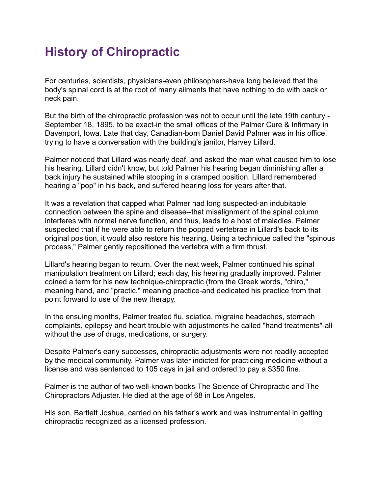## **History of Chiropractic**

For centuries, scientists, physicians-even philosophers-have long believed that the body's spinal cord is at the root of many ailments that have nothing to do with back or neck pain.

But the birth of the chiropractic profession was not to occur until the late 19th century - September 18, 1895, to be exact-in the small offices of the Palmer Cure & Infirmary in Davenport, Iowa. Late that day, Canadian-born Daniel David Palmer was in his office, trying to have a conversation with the building's janitor, Harvey Lillard.

Palmer noticed that Lillard was nearly deaf, and asked the man what caused him to lose his hearing. Lillard didn't know, but told Palmer his hearing began diminishing after a back injury he sustained while stooping in a cramped position. Lillard remembered hearing a "pop" in his back, and suffered hearing loss for years after that.

It was a revelation that capped what Palmer had long suspected-an indubitable connection between the spine and disease--that misalignment of the spinal column interferes with normal nerve function, and thus, leads to a host of maladies. Palmer suspected that if he were able to return the popped vertebrae in Lillard's back to its original position, it would also restore his hearing. Using a technique called the "spinous process," Palmer gently repositioned the vertebra with a firm thrust.

Lillard's hearing began to return. Over the next week, Palmer continued his spinal manipulation treatment on Lillard; each day, his hearing gradually improved. Palmer coined a term for his new technique-chiropractic (from the Greek words, "chiro," meaning hand, and "practic," meaning practice-and dedicated his practice from that point forward to use of the new therapy.

In the ensuing months, Palmer treated flu, sciatica, migraine headaches, stomach complaints, epilepsy and heart trouble with adjustments he called "hand treatments"-all without the use of drugs, medications, or surgery.

Despite Palmer's early successes, chiropractic adjustments were not readily accepted by the medical community. Palmer was later indicted for practicing medicine without a license and was sentenced to 105 days in jail and ordered to pay a \$350 fine.

Palmer is the author of two well-known books-The Science of Chiropractic and The Chiropractors Adjuster. He died at the age of 68 in Los Angeles.

His son, Bartlett Joshua, carried on his father's work and was instrumental in getting chiropractic recognized as a licensed profession.